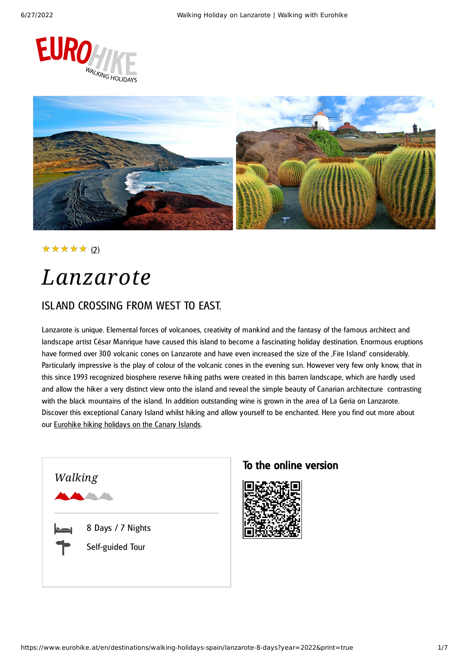



★★★★★ (2)

## *Lanzarote*

### ISLAND CROSSING FROM WEST TO EAST.

Lanzarote is unique. Elemental forces of volcanoes, creativity of mankind and the fantasy of the famous architect and landscape artist César Manrique have caused this island to become a fascinating holiday destination. Enormous eruptions have formed over 300 volcanic cones on Lanzarote and have even increased the size of the ,Fire Island' considerably. Particularly impressive is the play of colour of the volcanic cones in the evening sun. However very few only know, that in this since 1993 recognized biosphere reserve hiking paths were created in this barren landscape, which are hardly used and allow the hiker a very distinct view onto the island and reveal the simple beauty of Canarian architecture contrasting with the black mountains of the island. In addition outstanding wine is grown in the area of La Geria on Lanzarote. Discover this exceptional Canary Island whilst hiking and allow yourself to be enchanted. Here you find out more about our [Eurohike](https://www.eurohike.at/en/destinations/walking-holidays-spain/canaries) hiking holidays on the Canary Islands.



### To the online version

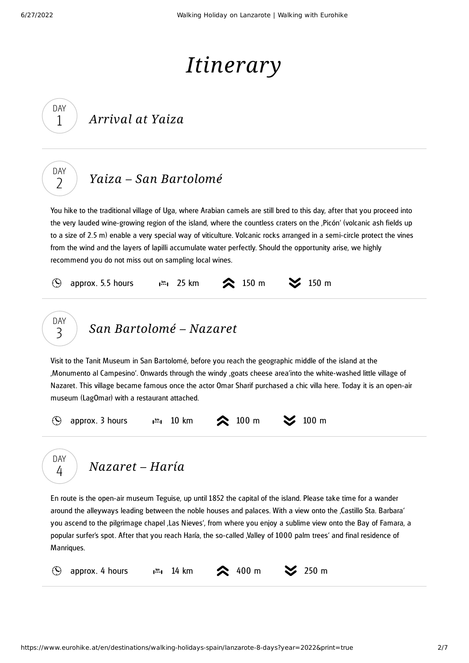DAY 1

DAY  $\overline{\phantom{0}}$ 

# *Itinerary*

### *Yaiza – San [Bartolomé](#page-1-0)*

<span id="page-1-0"></span>You hike to the traditional village of Uga, where Arabian camels are still bred to this day, after that you proceed into the very lauded wine-growing region of the island, where the countless craters on the 'Picón' (volcanic ash fields up to a size of 2.5 m) enable a very special way of viticulture. Volcanic rocks arranged in a semi-circle protect the vines from the wind and the layers of lapilli accumulate water perfectly. Should the opportunity arise, we highly recommend you do not miss out on sampling local wines.

<span id="page-1-1"></span>

*[Nazaret](#page-1-2) – Haría* DAY 4

<span id="page-1-2"></span>En route is the open-air museum Teguise, up until 1852 the capital of the island. Please take time for a wander around the alleyways leading between the noble houses and palaces. With a view onto the ,Castillo Sta. Barbara' you ascend to the pilgrimage chapel 'Las Nieves', from where you enjoy a sublime view onto the Bay of Famara, a popular surfer's spot. After that you reach Haría, the so-called , Valley of 1000 palm trees' and final residence of Manriques.

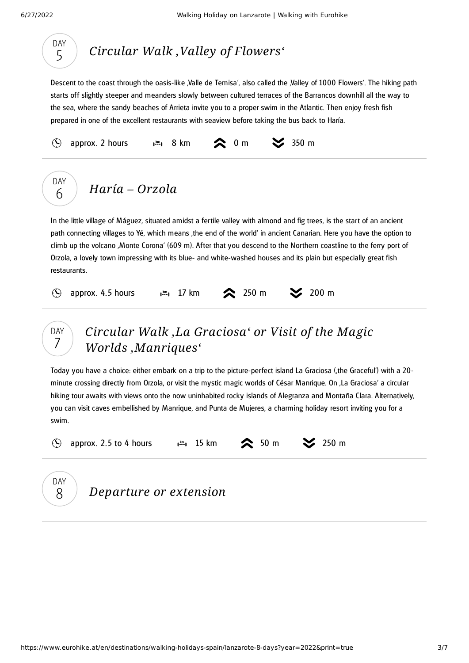

## *Circular Walk 'Valley of [Flowers'](#page-2-0)*

<span id="page-2-0"></span>Descent to the coast through the oasis-like Valle de Temisa', also called the Valley of 1000 Flowers'. The hiking path starts off slightly steeper and meanders slowly between cultured terraces of the Barrancos downhill all the way to the sea, where the sandy beaches of Arrieta invite you to a proper swim in the Atlantic. Then enjoy fresh fish prepared in one of the excellent restaurants with seaview before taking the bus back to Haría.

<span id="page-2-1"></span>



### *Circular Walk 'La Graciosa' or Visit of the Magic Worlds ['Manriques'](#page-2-2)*

<span id="page-2-2"></span>Today you have a choice: either embark on a trip to the picture-perfect island La Graciosa ('the Graceful') with a 20 minute crossing directly from Orzola, or visit the mystic magic worlds of César Manrique. On , La Graciosa' a circular hiking tour awaits with views onto the now uninhabited rocky islands of Alegranza and Montaña Clara. Alternatively, you can visit caves embellished by Manrique, and Punta de Mujeres, a charming holiday resort inviting you for a swim.

 $\mathcal{O}$ 

approx. 2.5 to 4 hours  $\lim_{n \to \infty} 15 \text{ km}$   $\bigotimes$  50 m  $\bigotimes$  250 m



*Departure or extension*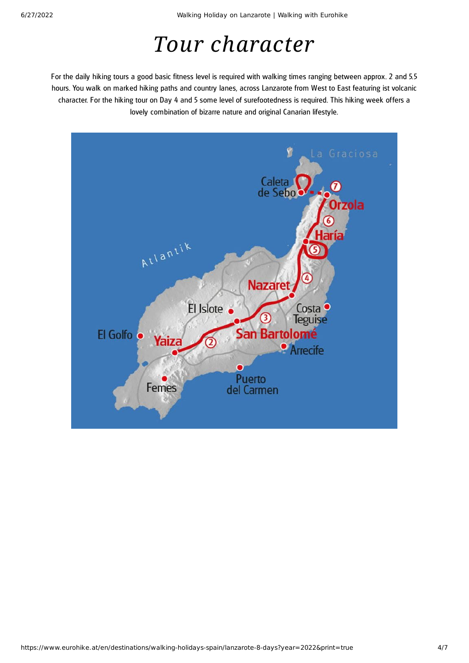# *Tour character*

For the daily hiking tours a good basic fitness level is required with walking times ranging between approx. 2 and 5.5 hours. You walk on marked hiking paths and country lanes, across Lanzarote from West to East featuring ist volcanic character. For the hiking tour on Day 4 and 5 some level of surefootedness is required. This hiking week offers a lovely combination of bizarre nature and original Canarian lifestyle.

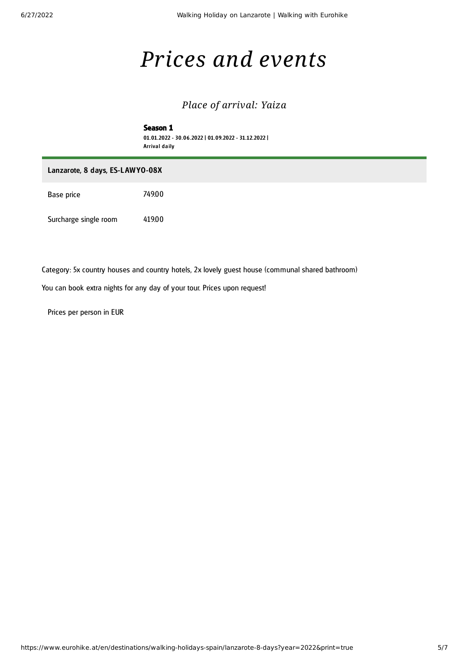# *Prices and events*

### *Place of arrival: Yaiza*

#### Season 1 01.01.2022 - 30.06.2022 | 01.09.2022 - 31.12.2022 | Arrival daily

#### Lanzarote, 8 days, ES-L AWYO-08X

Base price 749.00

Surcharge single room 419.00

Category: 5x country houses and country hotels, 2x lovely guest house (communal shared bathroom)

You can book extra nights for any day of your tour. Prices upon request!

Prices per person in EUR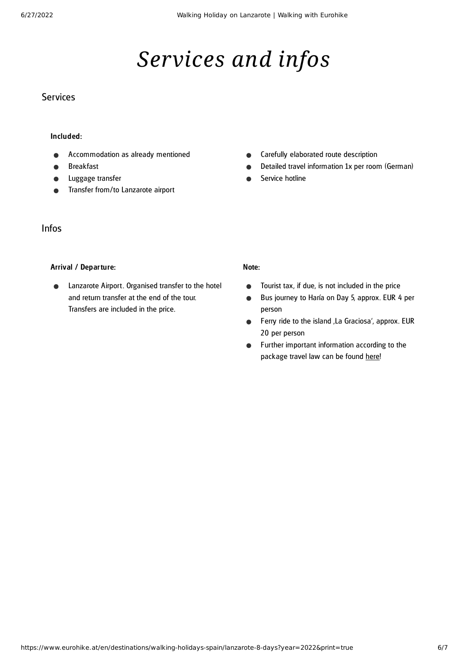# *Services and infos*

### Services

#### Included:

- Accommodation as already mentioned
- Breakfast
- Luggage transfer
- Transfer from/to Lanzarote airport

#### Infos

#### Arrival / Departure:

Lanzarote Airport. Organised transfer to the hotel  $\bullet$ and return transfer at the end of the tour. Transfers are included in the price.

- Carefully elaborated route description  $\bullet$
- Detailed travel information 1x per room (German)  $\bullet$
- Service hotline

#### Note:

- Tourist tax, if due, is not included in the price  $\bullet$
- Bus journey to Haría on Day 5, approx. EUR 4 per  $\bullet$ person
- Ferry ride to the island , La Graciosa', approx. EUR  $\bullet$ 20 per person
- Further important information according to the  $\bullet$ package travel law can be found [here](https://www.eurohike.at/en/travel-information/before-the-tour/pci)!